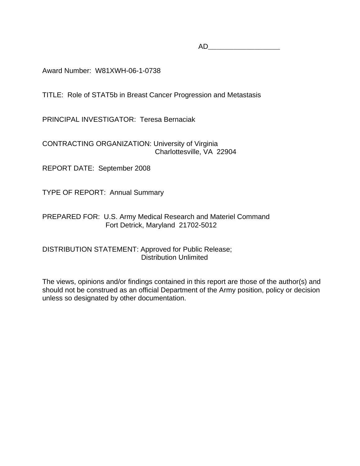AD\_\_\_\_\_\_\_\_\_\_\_\_\_\_\_\_\_

Award Number: W81XWH-06-1-0738

TITLE: Role of STAT5b in Breast Cancer Progression and Metastasis

PRINCIPAL INVESTIGATOR: Teresa Bernaciak

CONTRACTING ORGANIZATION: University of Virginia Charlottesville, VA 22904

REPORT DATE: September 2008

TYPE OF REPORT: Annual Summary

# PREPARED FOR: U.S. Army Medical Research and Materiel Command Fort Detrick, Maryland 21702-5012

## DISTRIBUTION STATEMENT: Approved for Public Release; Distribution Unlimited

The views, opinions and/or findings contained in this report are those of the author(s) and should not be construed as an official Department of the Army position, policy or decision unless so designated by other documentation.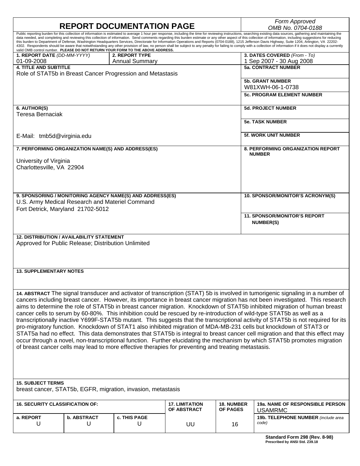| <b>REPORT DOCUMENTATION PAGE</b>                                                                                                                                                                                                                                                                                                                  |                                         |                                      |                                      | Form Approved<br>OMB No. 0704-0188                                                                                                                                                                                                                                                                                                                                                                                                                                                                                                                                                                                                                                                                                                                                                             |
|---------------------------------------------------------------------------------------------------------------------------------------------------------------------------------------------------------------------------------------------------------------------------------------------------------------------------------------------------|-----------------------------------------|--------------------------------------|--------------------------------------|------------------------------------------------------------------------------------------------------------------------------------------------------------------------------------------------------------------------------------------------------------------------------------------------------------------------------------------------------------------------------------------------------------------------------------------------------------------------------------------------------------------------------------------------------------------------------------------------------------------------------------------------------------------------------------------------------------------------------------------------------------------------------------------------|
| this burden to Department of Defense, Washington Headquarters Services, Directorate for Information Operations and Reports (0704-0188), 1215 Jefferson Davis Highway, Suite 1204, Arlington, VA 22202-<br>valid OMB control number. PLEASE DO NOT RETURN YOUR FORM TO THE ABOVE ADDRESS.                                                          |                                         |                                      |                                      | Public reporting burden for this collection of information is estimated to average 1 hour per response, including the time for reviewing instructions, searching existing data sources, gathering and maintaining the<br>data needed, and completing and reviewing this collection of information. Send comments regarding this burden estimate or any other aspect of this collection of information, including suggestions for reducing<br>4302. Respondents should be aware that notwithstanding any other provision of law, no person shall be subject to any penalty for failing to comply with a collection of information if it does not display a currently                                                                                                                            |
| 1. REPORT DATE (DD-MM-YYYY)<br>01-09-2008                                                                                                                                                                                                                                                                                                         | 2. REPORT TYPE<br><b>Annual Summary</b> |                                      |                                      | 3. DATES COVERED (From - To)<br>1 Sep 2007 - 30 Aug 2008                                                                                                                                                                                                                                                                                                                                                                                                                                                                                                                                                                                                                                                                                                                                       |
| <b>4. TITLE AND SUBTITLE</b>                                                                                                                                                                                                                                                                                                                      |                                         |                                      |                                      | <b>5a. CONTRACT NUMBER</b>                                                                                                                                                                                                                                                                                                                                                                                                                                                                                                                                                                                                                                                                                                                                                                     |
| Role of STAT5b in Breast Cancer Progression and Metastasis                                                                                                                                                                                                                                                                                        |                                         |                                      |                                      | <b>5b. GRANT NUMBER</b>                                                                                                                                                                                                                                                                                                                                                                                                                                                                                                                                                                                                                                                                                                                                                                        |
|                                                                                                                                                                                                                                                                                                                                                   |                                         |                                      |                                      | W81XWH-06-1-0738                                                                                                                                                                                                                                                                                                                                                                                                                                                                                                                                                                                                                                                                                                                                                                               |
|                                                                                                                                                                                                                                                                                                                                                   |                                         |                                      |                                      | <b>5c. PROGRAM ELEMENT NUMBER</b>                                                                                                                                                                                                                                                                                                                                                                                                                                                                                                                                                                                                                                                                                                                                                              |
| 6. AUTHOR(S)<br><b>Teresa Bernaciak</b>                                                                                                                                                                                                                                                                                                           |                                         |                                      |                                      | <b>5d. PROJECT NUMBER</b>                                                                                                                                                                                                                                                                                                                                                                                                                                                                                                                                                                                                                                                                                                                                                                      |
|                                                                                                                                                                                                                                                                                                                                                   |                                         |                                      |                                      | <b>5e. TASK NUMBER</b>                                                                                                                                                                                                                                                                                                                                                                                                                                                                                                                                                                                                                                                                                                                                                                         |
| E-Mail: tmb5d@virginia.edu                                                                                                                                                                                                                                                                                                                        |                                         |                                      |                                      | <b>5f. WORK UNIT NUMBER</b>                                                                                                                                                                                                                                                                                                                                                                                                                                                                                                                                                                                                                                                                                                                                                                    |
| 7. PERFORMING ORGANIZATION NAME(S) AND ADDRESS(ES)                                                                                                                                                                                                                                                                                                |                                         |                                      |                                      | <b>8. PERFORMING ORGANIZATION REPORT</b><br><b>NUMBER</b>                                                                                                                                                                                                                                                                                                                                                                                                                                                                                                                                                                                                                                                                                                                                      |
| University of Virginia<br>Charlottesville, VA 22904                                                                                                                                                                                                                                                                                               |                                         |                                      |                                      |                                                                                                                                                                                                                                                                                                                                                                                                                                                                                                                                                                                                                                                                                                                                                                                                |
|                                                                                                                                                                                                                                                                                                                                                   |                                         |                                      |                                      |                                                                                                                                                                                                                                                                                                                                                                                                                                                                                                                                                                                                                                                                                                                                                                                                |
| 9. SPONSORING / MONITORING AGENCY NAME(S) AND ADDRESS(ES)                                                                                                                                                                                                                                                                                         |                                         |                                      |                                      | 10. SPONSOR/MONITOR'S ACRONYM(S)                                                                                                                                                                                                                                                                                                                                                                                                                                                                                                                                                                                                                                                                                                                                                               |
| U.S. Army Medical Research and Materiel Command<br>Fort Detrick, Maryland 21702-5012                                                                                                                                                                                                                                                              |                                         |                                      |                                      |                                                                                                                                                                                                                                                                                                                                                                                                                                                                                                                                                                                                                                                                                                                                                                                                |
|                                                                                                                                                                                                                                                                                                                                                   |                                         |                                      |                                      | <b>11. SPONSOR/MONITOR'S REPORT</b><br><b>NUMBER(S)</b>                                                                                                                                                                                                                                                                                                                                                                                                                                                                                                                                                                                                                                                                                                                                        |
| <b>12. DISTRIBUTION / AVAILABILITY STATEMENT</b><br>Approved for Public Release; Distribution Unlimited                                                                                                                                                                                                                                           |                                         |                                      |                                      |                                                                                                                                                                                                                                                                                                                                                                                                                                                                                                                                                                                                                                                                                                                                                                                                |
| <b>13. SUPPLEMENTARY NOTES</b>                                                                                                                                                                                                                                                                                                                    |                                         |                                      |                                      |                                                                                                                                                                                                                                                                                                                                                                                                                                                                                                                                                                                                                                                                                                                                                                                                |
|                                                                                                                                                                                                                                                                                                                                                   |                                         |                                      |                                      |                                                                                                                                                                                                                                                                                                                                                                                                                                                                                                                                                                                                                                                                                                                                                                                                |
| cancer cells to serum by 60-80%. This inhibition could be rescued by re-introduction of wild-type STAT5b as well as a<br>pro-migratory function. Knockdown of STAT1 also inhibited migration of MDA-MB-231 cells but knockdown of STAT3 or<br>of breast cancer cells may lead to more effective therapies for preventing and treating metastasis. |                                         |                                      |                                      | 14. ABSTRACT The signal transducer and activator of transcription (STAT) 5b is involved in tumorigenic signaling in a number of<br>cancers including breast cancer. However, its importance in breast cancer migration has not been investigated. This research<br>aims to determine the role of STAT5b in breast cancer migration. Knockdown of STAT5b inhibited migration of human breast<br>transcriptionally inactive Y699F-STAT5b mutant. This suggests that the transcriptional activity of STAT5b is not required for its<br>STAT5a had no effect. This data demonstrates that STAT5b is integral to breast cancer cell migration and that this effect may<br>occur through a novel, non-transcriptional function. Further elucidating the mechanism by which STAT5b promotes migration |
| <b>15. SUBJECT TERMS</b><br>breast cancer, STAT5b, EGFR, migration, invasion, metastasis                                                                                                                                                                                                                                                          |                                         |                                      |                                      |                                                                                                                                                                                                                                                                                                                                                                                                                                                                                                                                                                                                                                                                                                                                                                                                |
| <b>16. SECURITY CLASSIFICATION OF:</b>                                                                                                                                                                                                                                                                                                            |                                         | <b>17. LIMITATION</b><br>OF ABSTRACT | <b>18. NUMBER</b><br><b>OF PAGES</b> | <b>19a. NAME OF RESPONSIBLE PERSON</b><br><b>USAMRMC</b>                                                                                                                                                                                                                                                                                                                                                                                                                                                                                                                                                                                                                                                                                                                                       |
| <b>b. ABSTRACT</b><br>a. REPORT<br>U<br>U                                                                                                                                                                                                                                                                                                         | c. THIS PAGE<br>U                       | UU                                   | 16                                   | 19b. TELEPHONE NUMBER (include area<br>code)<br>0.0010                                                                                                                                                                                                                                                                                                                                                                                                                                                                                                                                                                                                                                                                                                                                         |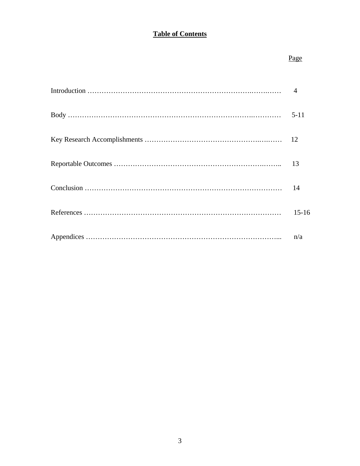# **Table of Contents**

### Page **Page**

| $5-11$  |
|---------|
|         |
|         |
|         |
| $15-16$ |
|         |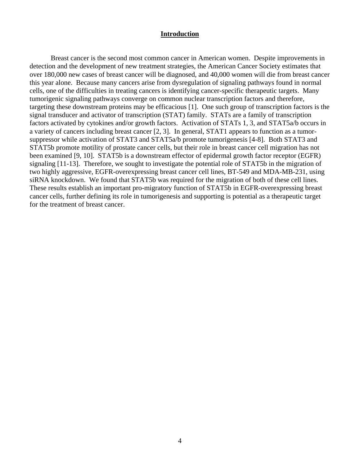#### **Introduction**

Breast cancer is the second most common cancer in American women. Despite improvements in detection and the development of new treatment strategies, the American Cancer Society estimates that over 180,000 new cases of breast cancer will be diagnosed, and 40,000 women will die from breast cancer this year alone. Because many cancers arise from dysregulation of signaling pathways found in normal cells, one of the difficulties in treating cancers is identifying cancer-specific therapeutic targets. Many tumorigenic signaling pathways converge on common nuclear transcription factors and therefore, targeting these downstream proteins may be efficacious [1]. One such group of transcription factors is the signal transducer and activator of transcription (STAT) family. STATs are a family of transcription factors activated by cytokines and/or growth factors. Activation of STATs 1, 3, and STAT5a/b occurs in a variety of cancers including breast cancer [2, 3]. In general, STAT1 appears to function as a tumorsuppressor while activation of STAT3 and STAT5a/b promote tumorigenesis [4-8]. Both STAT3 and STAT5b promote motility of prostate cancer cells, but their role in breast cancer cell migration has not been examined [9, 10]. STAT5b is a downstream effector of epidermal growth factor receptor (EGFR) signaling [11-13]. Therefore, we sought to investigate the potential role of STAT5b in the migration of two highly aggressive, EGFR-overexpressing breast cancer cell lines, BT-549 and MDA-MB-231, using siRNA knockdown. We found that STAT5b was required for the migration of both of these cell lines. These results establish an important pro-migratory function of STAT5b in EGFR-overexpressing breast cancer cells, further defining its role in tumorigenesis and supporting is potential as a therapeutic target for the treatment of breast cancer.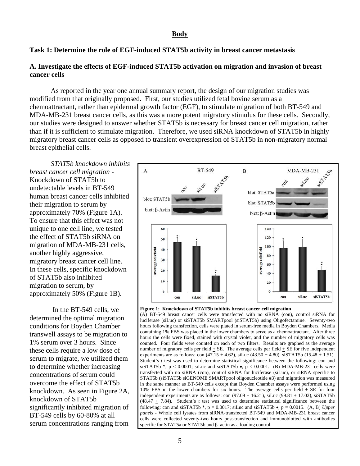#### **Body**

#### **Task 1: Determine the role of EGF-induced STAT5b activity in breast cancer metastasis**

#### **A. Investigate the effects of EGF-induced STAT5b activation on migration and invasion of breast cancer cells**

 As reported in the year one annual summary report, the design of our migration studies was modified from that originally proposed. First, our studies utilized fetal bovine serum as a chemoattractant, rather than epidermal growth factor (EGF), to stimulate migration of both BT-549 and MDA-MB-231 breast cancer cells, as this was a more potent migratory stimulus for these cells. Secondly, our studies were designed to answer whether STAT5b is necessary for breast cancer cell migration, rather than if it is sufficient to stimulate migration. Therefore, we used siRNA knockdown of STAT5b in highly migratory breast cancer cells as opposed to transient overexpression of STAT5b in non-migratory normal breast epithelial cells.

*STAT5b knockdown inhibits breast cancer cell migration -*  Knockdown of STAT5b to undetectable levels in BT-549 human breast cancer cells inhibited their migration to serum by approximately 70% (Figure 1A). To ensure that this effect was not unique to one cell line, we tested the effect of STAT5b siRNA on migration of MDA-MB-231 cells, another highly aggressive, migratory breast cancer cell line. In these cells, specific knockdown of STAT5b also inhibited migration to serum, by approximately 50% (Figure 1B).

 In the BT-549 cells, we determined the optimal migration conditions for Boyden Chamber transwell assays to be migration to 1% serum over 3 hours. Since these cells require a low dose of serum to migrate, we utilized them to determine whether increasing concentrations of serum could overcome the effect of STAT5b knockdown. As seen in Figure 2A, knockdown of STAT5b significantly inhibited migration of BT-549 cells by 60-80% at all serum concentrations ranging from



#### **Figure 1: Knockdown of STAT5b inhibits breast cancer cell migration**

(A) BT-549 breast cancer cells were transfected with no siRNA (con), control siRNA for luciferase (siLuc) or siSTAT5b SMARTpool (siSTAT5b) using Oligofectamine. Seventy-two hours following transfection, cells were plated in serum-free media in Boyden Chambers. Media containing 1% FBS was placed in the lower chambers to serve as a chemoattractant. After three hours the cells were fixed, stained with crystal violet, and the number of migratory cells was counted. Four fields were counted on each of two filters. Results are graphed as the average number of migratory cells per field  $\pm$  SE. The average cells per field  $\pm$  SE for five independent experiments are as follows: con  $(47.15 \pm 4.62)$ , siLuc  $(43.50 \pm 4.80)$ , siSTAT5b  $(15.48 \pm 1.51)$ . Student's *t* test was used to determine statistical significance between the following: con and siSTAT5b  $\ast$ , p < 0.0001; siLuc and siSTAT5b  $\bullet$ , p < 0.0001. (B) MDA-MB-231 cells were transfected with no siRNA (con), control siRNA for luciferase (siLuc), or siRNA specific to STAT5b (siSTAT5b siGENOME SMARTpool oligonucleotide #3) and migration was measured in the same manner as BT-549 cells except that Boyden Chamber assays were performed using 10% FBS in the lower chambers for six hours. The average cells per field + SE for four independent experiments are as follows: con  $(97.09 \pm 16.21)$ , siLuc  $(99.81 \pm 17.02)$ , siSTAT5b (48.47  $\pm$  7.84). Student's *t* test was used to determine statistical significance between the following: con and siSTAT5b  $*$ , p = 0.0017; siLuc and siSTAT5b  $\bullet$ , p = 0.0015. (A, B) *Upper panels* - Whole cell lysates from siRNA-transfected BT-549 and MDA-MB-231 breast cancer cells were collected seventy-two hours post-transfection and immunoblotted with antibodies specific for STAT5a or STAT5b and β–actin as a loading control.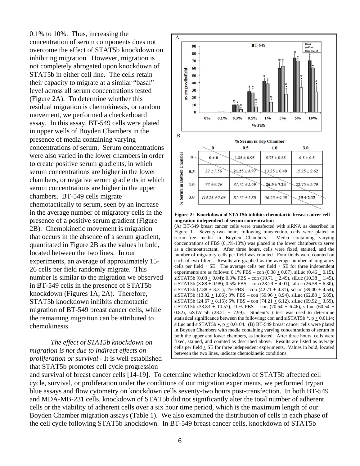0.1% to 10%. Thus, increasing the concentration of serum components does not overcome the effect of STAT5b knockdown on inhibiting migration. However, migration is not completely abrogated upon knockdown of STAT5b in either cell line. The cells retain their capacity to migrate at a similar "basal" level across all serum concentrations tested (Figure 2A). To determine whether this residual migration is chemokinesis, or random movement, we performed a checkerboard assay. In this assay, BT-549 cells were plated in upper wells of Boyden Chambers in the presence of media containing varying concentrations of serum. Serum concentrations were also varied in the lower chambers in order to create positive serum gradients, in which serum concentrations are higher in the lower chambers, or negative serum gradients in which serum concentrations are higher in the upper chambers. BT-549 cells migrate chemotactically to serum, seen by an increase in the average number of migratory cells in the presence of a positive serum gradient (Figure 2B). Chemokinetic movement is migration that occurs in the absence of a serum gradient, quantitated in Figure 2B as the values in bold, located between the two lines. In our experiments, an average of approximately 15- 26 cells per field randomly migrate. This number is similar to the migration we observed in BT-549 cells in the presence of STAT5b knockdown (Figures 1A, 2A). Therefore, STAT5b knockdown inhibits chemotactic migration of BT-549 breast cancer cells, while the remaining migration can be attributed to chemokinesis.

 *The effect of STAT5b knockdown on migration is not due to indirect effects on proliferation or survival* - It is well established that STAT5b promotes cell cycle progression



**migration independent of serum concentration**

(A) BT-549 breast cancer cells were transfected with siRNA as described in Figure 1. Seventy-two hours following transfection, cells were plated in serum-free media in Boyden Chambers. Media containing varying concentrations of FBS (0.1%-10%) was placed in the lower chambers to serve as a chemoattractant. After three hours, cells were fixed, stained, and the number of migratory cells per field was counted. Four fields were counted on each of two filters. Results are graphed as the average number of migratory cells per field  $\pm$  SE. The average cells per field  $\pm$  SE for three independent experiments are as follows:  $0.1\%$  FBS – con  $(0.38 \pm 0.07)$ , siLuc  $(0.46 \pm 0.15)$ , siSTAT5b (0.08  $\pm$  0.04); 0.3% FBS – con (10.71  $\pm$  2.49), siLuc (10.38  $\pm$  1.45), siSTAT5b (3.88  $\pm$  0.98); 0.5% FBS – con (28.29  $\pm$  4.01), siLuc (26.58  $\pm$  6.30), siSTAT5b (7.88  $\pm$  3.31); 1% FBS – con (42.71  $\pm$  4.31), siLuc (39.00  $\pm$  4.54), siSTAT5b (13.92  $\pm$  1.86); 3% FBS – con (59.96  $\pm$  8.94), siLuc (62.88  $\pm$  5.85), siSTAT5b (24.67  $\pm$  8.15); 5% FBS – con (74.21  $\pm$  6.12), siLuc (69.92  $\pm$  3.59), siSTAT5b (33.83 + 10.57); 10% FBS – con (70.54 + 6.46), siLuc (60.54 + 0.82), siSTAT5b (28.21  $\pm$  7.99). Student's *t* test was used to determine statistical significance between the following: con and siSTAT5b  $*$ , p < 0.0114; siLuc and siSTAT5b •,  $p \le 0.0104$ . (B) BT-549 breast cancer cells were plated in Boyden Chambers with media containing varying concentrations of serum in both the upper and lower chambers, as indicated. After three hours, cells were fixed, stained, and counted as described above. Results are listed as average cells per field + SE for three independent experiments. Values in bold, located between the two lines, indicate chemokinetic conditions.

and survival of breast cancer cells [14-19]. To determine whether knockdown of STAT5b affected cell cycle, survival, or proliferation under the conditions of our migration experiments, we performed trypan blue assays and flow cytometry on knockdown cells seventy-two hours post-transfection. In both BT-549 and MDA-MB-231 cells, knockdown of STAT5b did not significantly alter the total number of adherent cells or the viability of adherent cells over a six hour time period, which is the maximum length of our Boyden Chamber migration assays (Table 1). We also examined the distribution of cells in each phase of the cell cycle following STAT5b knockdown. In BT-549 breast cancer cells, knockdown of STAT5b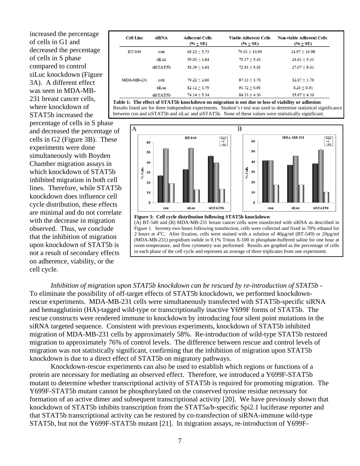increased the percentage of cells in G1 and decreased the percentage of cells in S phase compared to control siLuc knockdown (Figure 3A). A different effect was seen in MDA-MB-231 breast cancer cells, where knockdown of STAT5b increased the

percentage of cells in S phase and decreased the percentage of cells in G2 (Figure 3B). These experiments were done simultaneously with Boyden Chamber migration assays in which knockdown of STAT5b inhibited migration in both cell lines. Therefore, while STAT5b knockdown does influence cell cycle distribution, these effects are minimal and do not correlate with the decrease in migration observed. Thus, we conclude that the inhibition of migration upon knockdown of STAT5b is not a result of secondary effects on adherence, viability, or the cell cycle.

| <b>Cell Line</b>  | <b>siRNA</b> | <b>Adherent Cells</b><br>$(\% + SE)$ | <b>Viable Adherent Cells</b><br>$(% + SE)$ | <b>Non-viable Adherent Cells</b><br>$(% + SE)$ |
|-------------------|--------------|--------------------------------------|--------------------------------------------|------------------------------------------------|
| <b>BT-549</b>     | con          | $68.23 + 5.73$                       | $75.03 + 10.98$                            | $24.97 + 10.98$                                |
|                   | siLuc        | $59.03 + 4.64$                       | $75.37 + 5.43$                             | $24.63 + 5.43$                                 |
|                   | siSTAT5b     | $58.39 + 4.61$                       | $72.93 + 8.01$                             | $27.07 + 8.01$                                 |
| <b>MDA-MB-231</b> | con          | $79.22 + 2.66$                       | $87.13 + 1.70$                             | $12.87 + 1.70$                                 |
|                   | siLuc        | $82.12 + 1.79$                       | $91.72 + 0.91$                             | $8.28 + 0.91$                                  |
|                   | siSTAT5b     | $74.14 + 5.34$                       | $84.33 + 4.30$                             | $15.67 + 4.30$                                 |

**Table 1: The effect of STAT5b knockdown on migration is not due to loss of viability or adhesion** Results listed are for three independent experiments. Student's *t* test was used to determine statistical significance between con and siSTAT5b and siLuc and siSTAT5b. None of these values were statistically significant.



**Figure 3: Cell cycle distribution following STAT5b knockdown**  (A) BT-549 and (B) MDA-MB-231 breast cancer cells were transfected with siRNA as described in Figure 1. Seventy-two hours following transfection, cells were collected and fixed in 70% ethanol for 2 hours at 4<sup>o</sup>C. After fixation, cells were stained with a solution of 40 $\mu$ g/ml (BT-549) or 20 $\mu$ g/ml (MDA-MB-231) propidium iodide in 0.1% Triton X-100 in phosphate-buffered saline for one hour at room temperature, and flow cytometry was performed. Results are graphed as the percentage of cells in each phase of the cell cycle and represent an average of three triplicates from one experiment.

*Inhibition of migration upon STAT5b knockdown can be rescued by re-introduction of STAT5b* - To eliminate the possibility of off-target effects of STAT5b knockdown, we performed knockdownrescue experiments. MDA-MB-231 cells were simultaneously transfected with STAT5b-specific siRNA and hemagglutinin (HA)-tagged wild-type or transcriptionally inactive Y699F forms of STAT5b. The rescue constructs were rendered immune to knockdown by introducing four silent point mutations in the siRNA targeted sequence. Consistent with previous experiments, knockdown of STAT5b inhibited migration of MDA-MB-231 cells by approximately 58%. Re-introduction of wild-type STAT5b restored migration to approximately 76% of control levels. The difference between rescue and control levels of migration was not statistically significant, confirming that the inhibition of migration upon STAT5b knockdown is due to a direct effect of STAT5b on migratory pathways.

 Knockdown-rescue experiments can also be used to establish which regions or functions of a protein are necessary for mediating an observed effect. Therefore, we introduced a Y699F-STAT5b mutant to determine whether transcriptional activity of STAT5b is required for promoting migration. The Y699F-STAT5b mutant cannot be phosphorylated on the conserved tyrosine residue necessary for formation of an active dimer and subsequent transcriptional activity [20]. We have previously shown that knockdown of STAT5b inhibits transcription from the STAT5a/b-specific Spi2.1 luciferase reporter and that STAT5b transcriptional activity can be restored by co-transfection of siRNA-immune wild-type STAT5b, but not the Y699F-STAT5b mutant [21]. In migration assays, re-introduction of Y699F-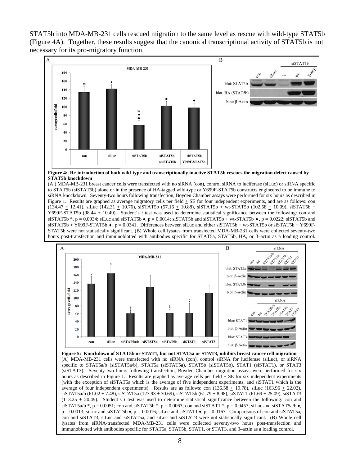STAT5b into MDA-MB-231 cells rescued migration to the same level as rescue with wild-type STAT5b (Figure 4A). Together, these results suggest that the canonical transcriptional activity of STAT5b is not necessary for its pro-migratory function.



**Figure 4: Re-introduction of both wild-type and transcriptionally inactive STAT5b rescues the migration defect caused by STAT5b knockdown** 

(A ) MDA-MB-231 breast cancer cells were transfected with no siRNA (con), control siRNA to luciferase (siLuc) or siRNA specific to STAT5b (siSTAT5b) alone or in the presence of HA-tagged wild-type or Y699F-STAT5b constructs engineered to be immune to siRNA knockdown. Seventy-two hours following transfection, Boyden Chamber assays were performed for six hours as described in Figure 1. Results are graphed as average migratory cells per field  $\pm$  SE for four independent experiments, and are as follows: con  $(134.47 \pm 12.41)$ , siLuc (142.31  $\pm$  10.76), siSTAT5b (57.16  $\pm$  10.88), siSTAT5b + wt-STAT5b (102.58  $\pm$  10.09), siSTAT5b + Y699F-STAT5b (98.44  $\pm$  10.49). Student's *t* test was used to determine statistical significance between the following: con and siSTAT5b  $\ast$ , p = 0.0034; siLuc and siSTAT5b  $\bullet$ , p = 0.0014; siSTAT5b and siSTAT5b + wt-STAT5b  $\bullet$ , p = 0.0222; siSTAT5b and  $s$ iSTAT5b + Y699F-STAT5b  $\bullet$ , p = 0.0341. Differences between siLuc and either siSTAT5b + wt-STAT5b or siSTAT5b + Y699F-STAT5b were not statistically significant. (B) Whole cell lysates from transfected MDA-MB-231 cells were collected seventy-two hours post-transfection and immunoblotted with antibodies specific for STAT5a, STAT5b, HA, or β–actin as a loading control.



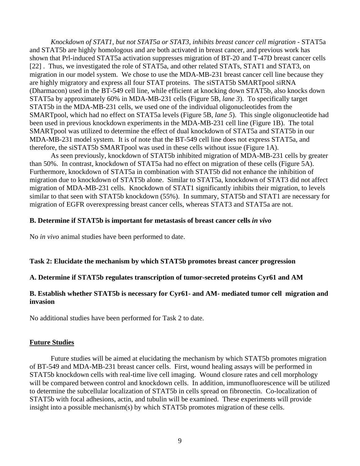*Knockdown of STAT1, but not STAT5a or STAT3, inhibits breast cancer cell migration* - STAT5a and STAT5b are highly homologous and are both activated in breast cancer, and previous work has shown that Prl-induced STAT5a activation suppresses migration of BT-20 and T-47D breast cancer cells [22] . Thus, we investigated the role of STAT5a, and other related STATs, STAT1 and STAT3, on migration in our model system. We chose to use the MDA-MB-231 breast cancer cell line because they are highly migratory and express all four STAT proteins. The siSTAT5b SMARTpool siRNA (Dharmacon) used in the BT-549 cell line, while efficient at knocking down STAT5b, also knocks down STAT5a by approximately 60% in MDA-MB-231 cells (Figure 5B, *lane 3*). To specifically target STAT5b in the MDA-MB-231 cells, we used one of the individual oligonucleotides from the SMARTpool, which had no effect on STAT5a levels (Figure 5B, *lane 5*). This single oligonucleotide had been used in previous knockdown experiments in the MDA-MB-231 cell line (Figure 1B). The total SMARTpool was utilized to determine the effect of dual knockdown of STAT5a and STAT5b in our MDA-MB-231 model system. It is of note that the BT-549 cell line does not express STAT5a, and therefore, the siSTAT5b SMARTpool was used in these cells without issue (Figure 1A).

As seen previously, knockdown of STAT5b inhibited migration of MDA-MB-231 cells by greater than 50%. In contrast, knockdown of STAT5a had no effect on migration of these cells (Figure 5A). Furthermore, knockdown of STAT5a in combination with STAT5b did not enhance the inhibition of migration due to knockdown of STAT5b alone. Similar to STAT5a, knockdown of STAT3 did not affect migration of MDA-MB-231 cells. Knockdown of STAT1 significantly inhibits their migration, to levels similar to that seen with STAT5b knockdown (55%). In summary, STAT5b and STAT1 are necessary for migration of EGFR overexpressing breast cancer cells, whereas STAT3 and STAT5a are not.

#### **B. Determine if STAT5b is important for metastasis of breast cancer cells** *in vivo*

No *in vivo* animal studies have been performed to date.

### **Task 2: Elucidate the mechanism by which STAT5b promotes breast cancer progression**

### **A. Determine if STAT5b regulates transcription of tumor-secreted proteins Cyr61 and AM**

### **B. Establish whether STAT5b is necessary for Cyr61- and AM- mediated tumor cell migration and invasion**

No additional studies have been performed for Task 2 to date.

#### **Future Studies**

Future studies will be aimed at elucidating the mechanism by which STAT5b promotes migration of BT-549 and MDA-MB-231 breast cancer cells. First, wound healing assays will be performed in STAT5b knockdown cells with real-time live cell imaging. Wound closure rates and cell morphology will be compared between control and knockdown cells. In addition, immunofluorescence will be utilized to determine the subcellular localization of STAT5b in cells spread on fibronectin. Co-localization of STAT5b with focal adhesions, actin, and tubulin will be examined. These experiments will provide insight into a possible mechanism(s) by which STAT5b promotes migration of these cells.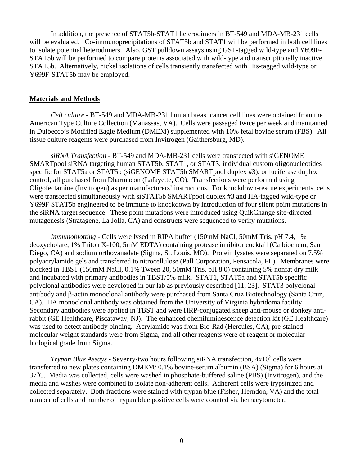In addition, the presence of STAT5b-STAT1 heterodimers in BT-549 and MDA-MB-231 cells will be evaluated. Co-immunoprecipitations of STAT5b and STAT1 will be performed in both cell lines to isolate potential heterodimers. Also, GST pulldown assays using GST-tagged wild-type and Y699F-STAT5b will be performed to compare proteins associated with wild-type and transcriptionally inactive STAT5b. Alternatively, nickel isolations of cells transiently transfected with His-tagged wild-type or Y699F-STAT5b may be employed.

#### **Materials and Methods**

*Cell culture* - BT-549 and MDA-MB-231 human breast cancer cell lines were obtained from the American Type Culture Collection (Manassas, VA). Cells were passaged twice per week and maintained in Dulbecco's Modified Eagle Medium (DMEM) supplemented with 10% fetal bovine serum (FBS). All tissue culture reagents were purchased from Invitrogen (Gaithersburg, MD).

*siRNA Transfection* - BT-549 and MDA-MB-231 cells were transfected with siGENOME SMARTpool siRNA targeting human STAT5b, STAT1, or STAT3, individual custom oligonucleotides specific for STAT5a or STAT5b (siGENOME STAT5b SMARTpool duplex #3), or luciferase duplex control, all purchased from Dharmacon (Lafayette, CO). Transfections were performed using Oligofectamine (Invitrogen) as per manufacturers' instructions. For knockdown-rescue experiments, cells were transfected simultaneously with siSTAT5b SMARTpool duplex #3 and HA-tagged wild-type or Y699F STAT5b engineered to be immune to knockdown by introduction of four silent point mutations in the siRNA target sequence. These point mutations were introduced using QuikChange site-directed mutagenesis (Stratagene, La Jolla, CA) and constructs were sequenced to verify mutations.

*Immunoblotting* - Cells were lysed in RIPA buffer (150mM NaCl, 50mM Tris, pH 7.4, 1%) deoxycholate, 1% Triton X-100, 5mM EDTA) containing protease inhibitor cocktail (Calbiochem, San Diego, CA) and sodium orthovanadate (Sigma, St. Louis, MO). Protein lysates were separated on 7.5% polyacrylamide gels and transferred to nitrocellulose (Pall Corporation, Pensacola, FL). Membranes were blocked in TBST (150mM NaCl, 0.1% Tween 20, 50mM Tris, pH 8.0) containing 5% nonfat dry milk and incubated with primary antibodies in TBST/5% milk. STAT1, STAT5a and STAT5b specific polyclonal antibodies were developed in our lab as previously described [11, 23]. STAT3 polyclonal antibody and β-actin monoclonal antibody were purchased from Santa Cruz Biotechnology (Santa Cruz, CA). HA monoclonal antibody was obtained from the University of Virginia hybridoma facility. Secondary antibodies were applied in TBST and were HRP-conjugated sheep anti-mouse or donkey antirabbit (GE Healthcare, Piscataway, NJ). The enhanced chemiluminescence detection kit (GE Healthcare) was used to detect antibody binding. Acrylamide was from Bio-Rad (Hercules, CA), pre-stained molecular weight standards were from Sigma, and all other reagents were of reagent or molecular biological grade from Sigma.

*Trypan Blue Assays* - Seventy-two hours following siRNA transfection,  $4x10^5$  cells were transferred to new plates containing DMEM/ 0.1% bovine-serum albumin (BSA) (Sigma) for 6 hours at 37<sup>o</sup>C. Media was collected, cells were washed in phosphate-buffered saline (PBS) (Invitrogen), and the media and washes were combined to isolate non-adherent cells. Adherent cells were trypsinized and collected separately. Both fractions were stained with trypan blue (Fisher, Herndon, VA) and the total number of cells and number of trypan blue positive cells were counted via hemacytometer.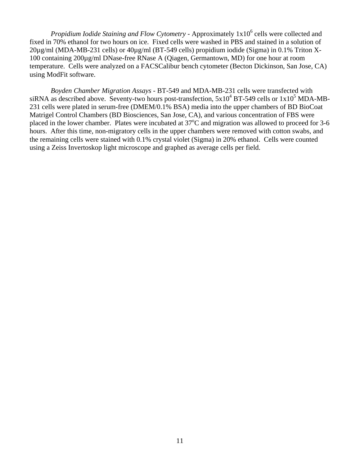Propidium Iodide Staining and Flow Cytometry - Approximately 1x10<sup>6</sup> cells were collected and fixed in 70% ethanol for two hours on ice. Fixed cells were washed in PBS and stained in a solution of 20µg/ml (MDA-MB-231 cells) or 40µg/ml (BT-549 cells) propidium iodide (Sigma) in 0.1% Triton X-100 containing 200µg/ml DNase-free RNase A (Qiagen, Germantown, MD) for one hour at room temperature. Cells were analyzed on a FACSCalibur bench cytometer (Becton Dickinson, San Jose, CA) using ModFit software.

*Boyden Chamber Migration Assays* - BT-549 and MDA-MB-231 cells were transfected with siRNA as described above. Seventy-two hours post-transfection,  $5x10^4$  BT-549 cells or  $1x10^5$  MDA-MB-231 cells were plated in serum-free (DMEM/0.1% BSA) media into the upper chambers of BD BioCoat Matrigel Control Chambers (BD Biosciences, San Jose, CA), and various concentration of FBS were placed in the lower chamber. Plates were incubated at  $37^{\circ}$ C and migration was allowed to proceed for 3-6 hours. After this time, non-migratory cells in the upper chambers were removed with cotton swabs, and the remaining cells were stained with 0.1% crystal violet (Sigma) in 20% ethanol. Cells were counted using a Zeiss Invertoskop light microscope and graphed as average cells per field.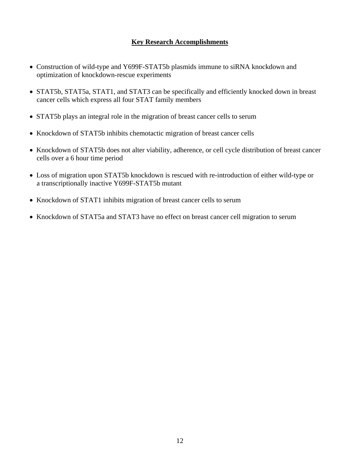# **Key Research Accomplishments**

- Construction of wild-type and Y699F-STAT5b plasmids immune to siRNA knockdown and optimization of knockdown-rescue experiments
- STAT5b, STAT5a, STAT1, and STAT3 can be specifically and efficiently knocked down in breast cancer cells which express all four STAT family members
- STAT5b plays an integral role in the migration of breast cancer cells to serum
- Knockdown of STAT5b inhibits chemotactic migration of breast cancer cells
- Knockdown of STAT5b does not alter viability, adherence, or cell cycle distribution of breast cancer cells over a 6 hour time period
- Loss of migration upon STAT5b knockdown is rescued with re-introduction of either wild-type or a transcriptionally inactive Y699F-STAT5b mutant
- Knockdown of STAT1 inhibits migration of breast cancer cells to serum
- Knockdown of STAT5a and STAT3 have no effect on breast cancer cell migration to serum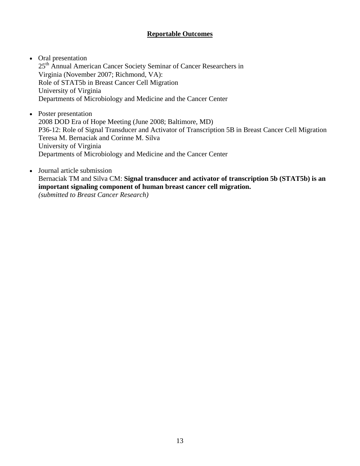# **Reportable Outcomes**

- Oral presentation 25<sup>th</sup> Annual American Cancer Society Seminar of Cancer Researchers in Virginia (November 2007; Richmond, VA): Role of STAT5b in Breast Cancer Cell Migration University of Virginia Departments of Microbiology and Medicine and the Cancer Center
- Poster presentation 2008 DOD Era of Hope Meeting (June 2008; Baltimore, MD) P36-12: Role of Signal Transducer and Activator of Transcription 5B in Breast Cancer Cell Migration Teresa M. Bernaciak and Corinne M. Silva University of Virginia Departments of Microbiology and Medicine and the Cancer Center
- Journal article submission Bernaciak TM and Silva CM: **Signal transducer and activator of transcription 5b (STAT5b) is an important signaling component of human breast cancer cell migration.** *(submitted to Breast Cancer Research)*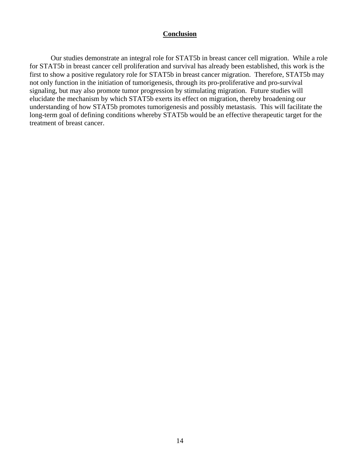#### **Conclusion**

Our studies demonstrate an integral role for STAT5b in breast cancer cell migration. While a role for STAT5b in breast cancer cell proliferation and survival has already been established, this work is the first to show a positive regulatory role for STAT5b in breast cancer migration. Therefore, STAT5b may not only function in the initiation of tumorigenesis, through its pro-proliferative and pro-survival signaling, but may also promote tumor progression by stimulating migration. Future studies will elucidate the mechanism by which STAT5b exerts its effect on migration, thereby broadening our understanding of how STAT5b promotes tumorigenesis and possibly metastasis. This will facilitate the long-term goal of defining conditions whereby STAT5b would be an effective therapeutic target for the treatment of breast cancer.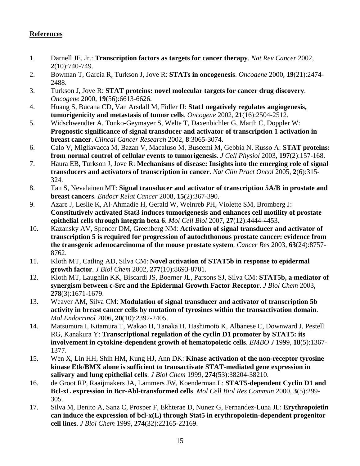# **References**

- 1. Darnell JE, Jr.: **Transcription factors as targets for cancer therapy**. *Nat Rev Cancer* 2002, **2**(10):740-749.
- 2. Bowman T, Garcia R, Turkson J, Jove R: **STATs in oncogenesis**. *Oncogene* 2000, **19**(21):2474- 2488.
- 3. Turkson J, Jove R: **STAT proteins: novel molecular targets for cancer drug discovery**. *Oncogene* 2000, **19**(56):6613-6626.
- 4. Huang S, Bucana CD, Van Arsdall M, Fidler IJ: **Stat1 negatively regulates angiogenesis, tumorigenicity and metastasis of tumor cells**. *Oncogene* 2002, **21**(16):2504-2512.
- 5. Widschwendter A, Tonko-Geymayer S, Welte T, Daxenbichler G, Marth C, Doppler W: **Prognostic significance of signal transducer and activator of transcription 1 activation in breast cancer**. *Clincal Cancer Research* 2002, **8**:3065-3074.
- 6. Calo V, Migliavacca M, Bazan V, Macaluso M, Buscemi M, Gebbia N, Russo A: **STAT proteins: from normal control of cellular events to tumorigenesis**. *J Cell Physiol* 2003, **197**(2):157-168.
- 7. Haura EB, Turkson J, Jove R: **Mechanisms of disease: Insights into the emerging role of signal transducers and activators of transcription in cancer**. *Nat Clin Pract Oncol* 2005, **2**(6):315- 324.
- 8. Tan S, Nevalainen MT: **Signal transducer and activator of transcription 5A/B in prostate and breast cancers**. *Endocr Relat Cancer* 2008, **15**(2):367-390.
- 9. Azare J, Leslie K, Al-Ahmadie H, Gerald W, Weinreb PH, Violette SM, Bromberg J: **Constitutively activated Stat3 induces tumorigenesis and enhances cell motility of prostate epithelial cells through integrin beta 6**. *Mol Cell Biol* 2007, **27**(12):4444-4453.
- 10. Kazansky AV, Spencer DM, Greenberg NM: **Activation of signal transducer and activator of transcription 5 is required for progression of autochthonous prostate cancer: evidence from the transgenic adenocarcinoma of the mouse prostate system**. *Cancer Res* 2003, **63**(24):8757- 8762.
- 11. Kloth MT, Catling AD, Silva CM: **Novel activation of STAT5b in response to epidermal growth factor**. *J Biol Chem* 2002, **277**(10):8693-8701.
- 12. Kloth MT, Laughlin KK, Biscardi JS, Boerner JL, Parsons SJ, Silva CM: **STAT5b, a mediator of synergism between c-Src and the Epidermal Growth Factor Receptor**. *J Biol Chem* 2003, **278**(3):1671-1679.
- 13. Weaver AM, Silva CM: **Modulation of signal transducer and activator of transcription 5b activity in breast cancer cells by mutation of tyrosines within the transactivation domain**. *Mol Endocrinol* 2006, **20**(10):2392-2405.
- 14. Matsumura I, Kitamura T, Wakao H, Tanaka H, Hashimoto K, Albanese C, Downward J, Pestell RG, Kanakura Y: **Transcriptional regulation of the cyclin D1 promoter by STAT5: its involvement in cytokine-dependent growth of hematopoietic cells**. *EMBO J* 1999, **18**(5):1367- 1377.
- 15. Wen X, Lin HH, Shih HM, Kung HJ, Ann DK: **Kinase activation of the non-receptor tyrosine kinase Etk/BMX alone is sufficient to transactivate STAT-mediated gene expression in salivary and lung epithelial cells**. *J Biol Chem* 1999, **274**(53):38204-38210.
- 16. de Groot RP, Raaijmakers JA, Lammers JW, Koenderman L: **STAT5-dependent Cyclin D1 and Bcl-xL expression in Bcr-Abl-transformed cells**. *Mol Cell Biol Res Commun* 2000, **3**(5):299- 305.
- 17. Silva M, Benito A, Sanz C, Prosper F, Ekhterae D, Nunez G, Fernandez-Luna JL: **Erythropoietin can induce the expression of bcl-x(L) through Stat5 in erythropoietin-dependent progenitor cell lines**. *J Biol Chem* 1999, **274**(32):22165-22169.